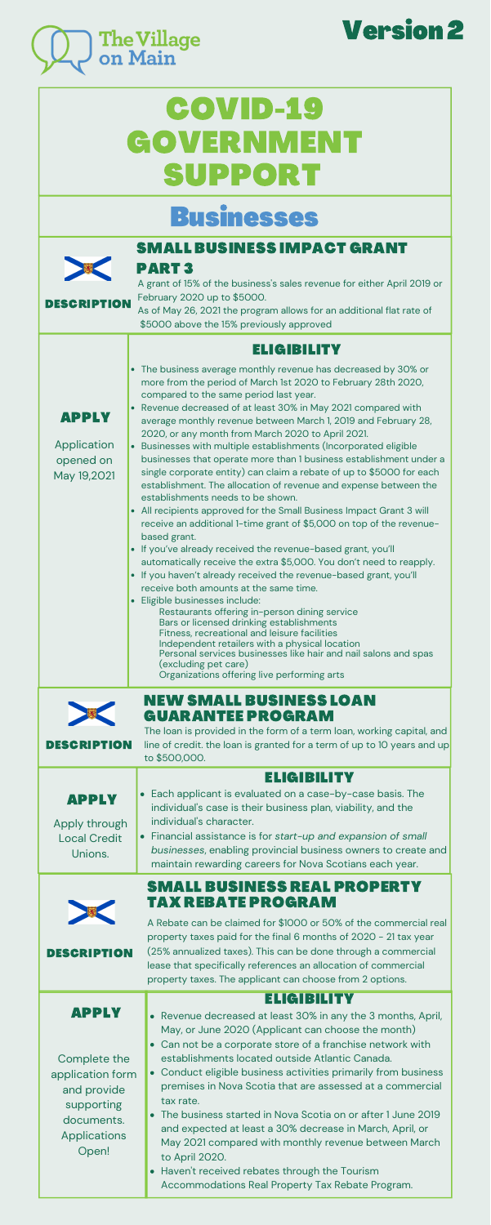# COVID-19 [GOVERNMENT](https://covid-benefits.alpha.canada.ca/en/start) SUPPORT

# Businesses



The loan is provided in the form of a term loan, working capital, and

### SMALL [BUSINESS](https://novascotia.ca/coronavirus/small-business-impact-grant/) IMPACT GRANT PART 3

A grant of 15% of the business's sales revenue for either April 2019 or February 2020 up to \$5000.

As of May 26, 2021 the program allows for an additional flat rate of \$5000 above the 15% previously approved

### [ELIGIBILITY](https://novascotia.ca/coronavirus/small-business-impact-grant/#eligibility)

The business average monthly revenue has decreased by 30% or more from the period of March 1st 2020 to February 28th 2020, compared to the same period last year.

| <b>DESCRIPTION</b>                                                                                                          | line of credit. the loan is granted for a term of up to 10 years and up<br>to \$500,000.                                                                                                                                                                                                                                                                                                                                                                                                                                                                                                                                                                                                                                           |  |  |
|-----------------------------------------------------------------------------------------------------------------------------|------------------------------------------------------------------------------------------------------------------------------------------------------------------------------------------------------------------------------------------------------------------------------------------------------------------------------------------------------------------------------------------------------------------------------------------------------------------------------------------------------------------------------------------------------------------------------------------------------------------------------------------------------------------------------------------------------------------------------------|--|--|
| <b>APPLY</b><br>Apply through<br><b>Local Credit</b><br>Unions.                                                             | <b>ELIGIBILITY</b><br>• Each applicant is evaluated on a case-by-case basis. The<br>individual's case is their business plan, viability, and the<br>individual's character.<br>• Financial assistance is for start-up and expansion of small<br>businesses, enabling provincial business owners to create and<br>maintain rewarding careers for Nova Scotians each year.                                                                                                                                                                                                                                                                                                                                                           |  |  |
| <b>DESCRIPTION</b>                                                                                                          | <b>SMALL BUSINESS REAL PROPERTY</b><br>TAX REBATE PROGRAM<br>A Rebate can be claimed for \$1000 or 50% of the commercial real<br>property taxes paid for the final 6 months of 2020 - 21 tax year<br>(25% annualized taxes). This can be done through a commercial<br>lease that specifically references an allocation of commercial<br>property taxes. The applicant can choose from 2 options.                                                                                                                                                                                                                                                                                                                                   |  |  |
| <b>APPLY</b><br>Complete the<br>application form<br>and provide<br>supporting<br>documents.<br><b>Applications</b><br>Open! | <b>ELIGIBILITY</b><br>Revenue decreased at least 30% in any the 3 months, April,<br>$\bullet$<br>May, or June 2020 (Applicant can choose the month)<br>Can not be a corporate store of a franchise network with<br>establishments located outside Atlantic Canada.<br>Conduct eligible business activities primarily from business<br>$\bullet$<br>premises in Nova Scotia that are assessed at a commercial<br>tax rate.<br>The business started in Nova Scotia on or after 1 June 2019<br>and expected at least a 30% decrease in March, April, or<br>May 2021 compared with monthly revenue between March<br>to April 2020.<br>Haven't received rebates through the Tourism<br>Accommodations Real Property Tax Rebate Program. |  |  |



Application opened on May 19,2021

> [NEW](http://www.novascotia.coop/programs/small-business-loan-guarantee-program/) SMALL BUSINESS LOAN [GUARANTEE](http://www.novascotia.coop/programs/small-business-loan-guarantee-program/) PROGRAM

DESCRIPTION

- Revenue decreased of at least 30% in May 2021 compared with average monthly revenue between March 1, 2019 and February 28, 2020, or any month from March 2020 to April 2021.
- Businesses with multiple establishments (Incorporated eligible businesses that operate more than 1 business establishment under a single corporate entity) can claim a rebate of up to \$5000 for each establishment. The allocation of revenue and expense between the establishments needs to be shown.
- All recipients approved for the Small Business Impact Grant 3 will receive an additional 1-time grant of \$5,000 on top of the revenuebased grant.
- If you've already received the revenue-based grant, you'll automatically receive the extra \$5,000. You don't need to reapply.
- If you haven't already received the revenue-based grant, you'll receive both amounts at the same time.
- Eligible businesses include: Bars or licensed drinking establishments Fitness, recreational and leisure facilities Independent retailers with a physical location Personal services businesses like hair and nail salons and spas (excluding pet care) Organizations offering live performing arts Restaurants offering in-person dining service





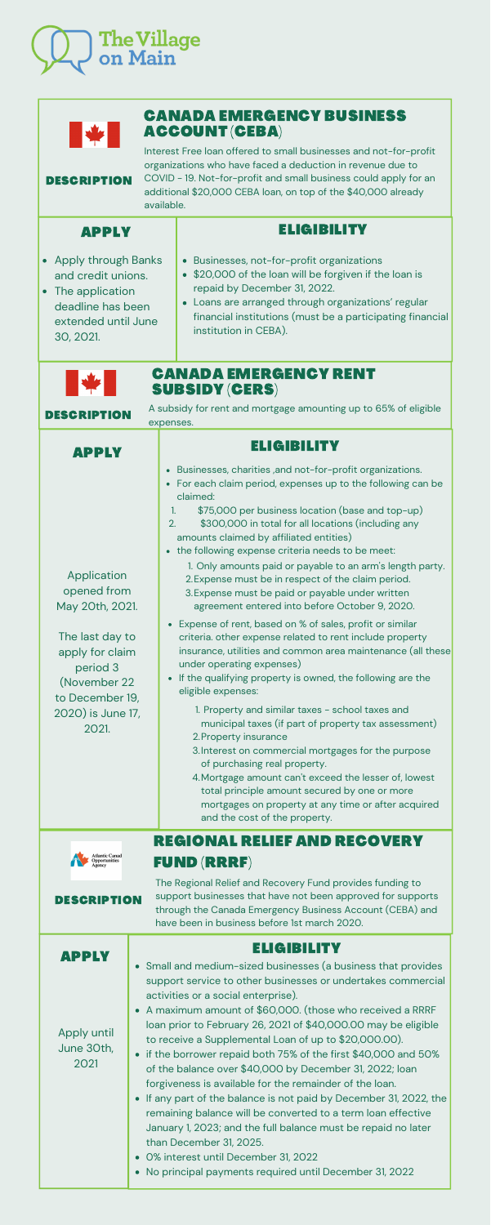- 2. Property insurance
- Interest on commercial mortgages for the purpose 3. of purchasing real property.
- Mortgage amount can't exceed the lesser of, lowest 4. total principle amount secured by one or more mortgages on property at any time or after acquired and the cost of the property.



| $\left \frac{1}{2}\right $<br><b>DESCRIPTION</b>                                                                                                                 | <b>CANADA EMERGENCY BUSINESS</b><br><b>ACCOUNT (CEBA)</b><br>Interest Free loan offered to small businesses and not-for-profit<br>organizations who have faced a deduction in revenue due to<br>COVID - 19. Not-for-profit and small business could apply for an<br>additional \$20,000 CEBA loan, on top of the \$40,000 already<br>available.                                                                                                                                                                                                                                                                                                                                                                                                                                                                                                                                                                        |  |  |
|------------------------------------------------------------------------------------------------------------------------------------------------------------------|------------------------------------------------------------------------------------------------------------------------------------------------------------------------------------------------------------------------------------------------------------------------------------------------------------------------------------------------------------------------------------------------------------------------------------------------------------------------------------------------------------------------------------------------------------------------------------------------------------------------------------------------------------------------------------------------------------------------------------------------------------------------------------------------------------------------------------------------------------------------------------------------------------------------|--|--|
| <b>APPLY</b>                                                                                                                                                     | ELIGIBILITY                                                                                                                                                                                                                                                                                                                                                                                                                                                                                                                                                                                                                                                                                                                                                                                                                                                                                                            |  |  |
| • Apply through Banks<br>and credit unions.<br>The application<br>$\bullet$<br>deadline has been<br>extended until June<br>30, 2021.                             | Businesses, not-for-profit organizations<br>$\bullet$<br>\$20,000 of the loan will be forgiven if the loan is<br>$\bullet$<br>repaid by December 31, 2022.<br>Loans are arranged through organizations' regular<br>$\bullet$<br>financial institutions (must be a participating financial<br>institution in CEBA).                                                                                                                                                                                                                                                                                                                                                                                                                                                                                                                                                                                                     |  |  |
| <b>CANADA EMERGENCY RENT</b><br>H<br><b>SUBSIDY (CERS)</b><br>A subsidy for rent and mortgage amounting up to 65% of eligible<br><b>DESCRIPTION</b><br>expenses. |                                                                                                                                                                                                                                                                                                                                                                                                                                                                                                                                                                                                                                                                                                                                                                                                                                                                                                                        |  |  |
| <b>APPLY</b>                                                                                                                                                     | <b>ELIGIBILITY</b>                                                                                                                                                                                                                                                                                                                                                                                                                                                                                                                                                                                                                                                                                                                                                                                                                                                                                                     |  |  |
| Application<br>opened from<br>May 20th, 2021.<br>The last day to<br>apply for claim<br>period 3                                                                  | • Businesses, charities , and not-for-profit organizations.<br>For each claim period, expenses up to the following can be<br>$\bullet$<br>claimed:<br>\$75,000 per business location (base and top-up)<br>$\overline{\mathbf{1}}$ .<br>2.<br>\$300,000 in total for all locations (including any<br>amounts claimed by affiliated entities)<br>the following expense criteria needs to be meet:<br>$\bullet$<br>1. Only amounts paid or payable to an arm's length party.<br>2. Expense must be in respect of the claim period.<br>3. Expense must be paid or payable under written<br>agreement entered into before October 9, 2020.<br>Expense of rent, based on % of sales, profit or similar<br>criteria. other expense related to rent include property<br>insurance, utilities and common area maintenance (all these<br>under operating expenses)<br>If the qualifying property is owned, the following are the |  |  |
| (November 22<br>to December 19,<br>2020) is June 17,<br>2021.                                                                                                    | eligible expenses:<br>1. Property and similar taxes - school taxes and<br>municipal taxes (if part of property tax assessment)<br>$\alpha$                                                                                                                                                                                                                                                                                                                                                                                                                                                                                                                                                                                                                                                                                                                                                                             |  |  |

- Small and medium-sized businesses (a business that provides support service to other businesses or undertakes commercial activities or a social enterprise).
- A maximum amount of \$60,000. (those who received a RRRF loan prior to February 26, 2021 of \$40,000.00 may be eligible to receive a Supplemental Loan of up to \$20,000.00).
- if the borrower repaid both 75% of the first \$40,000 and 50% of the balance over \$40,000 by December 31, 2022; loan forgiveness is available for the remainder of the loan.
- If any part of the balance is not paid by December 31, 2022, the remaining balance will be converted to a term loan effective January 1, 2023; and the full balance must be repaid no later than December 31, 2025.
- 0% interest until December 31, 2022
- No principal payments required until December 31, 2022

The Regional Relief and Recovery Fund provides funding to support businesses that have not been approved for supports through the Canada Emergency Business Account (CEBA) and have been in business before 1st march 2020.

# REGIONAL RELIEF AND [RECOVERY](https://www.ic.gc.ca/eic/site/icgc.nsf/eng/h_07682.html) FUND (RRRF)



# [ELIGIBILITY](https://www.ceed.ca/umsli/) [APPLY](https://www.cbdc.ca/en/nova-scotia-regional-relief-and-recovery-fund-rrrf)

Apply until June 30th, 2021

[DESCRIPTION](https://www.canada.ca/en/atlantic-canada-opportunities/campaigns/covid19/rrrf.html)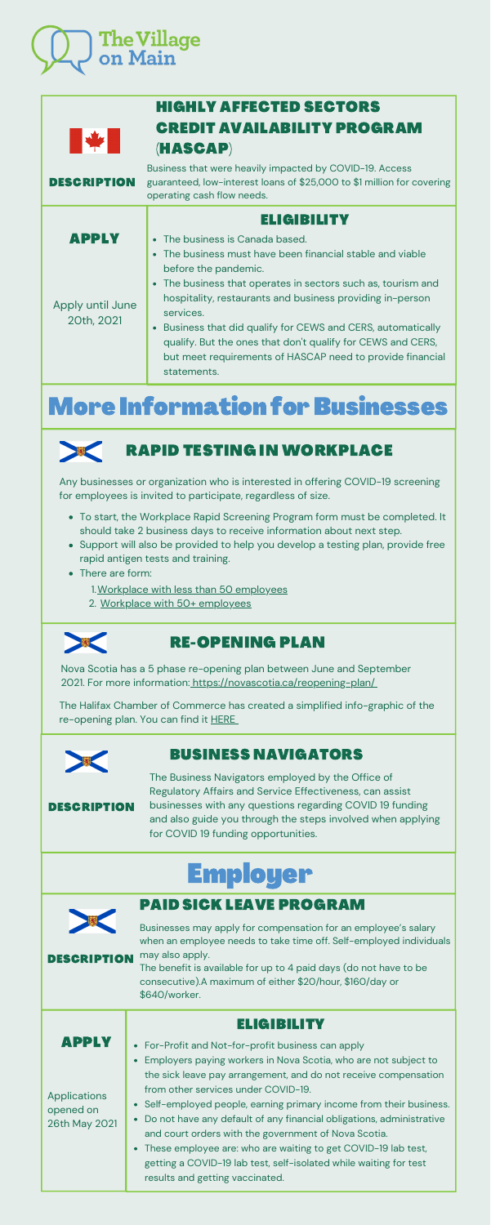# The Village<br>on Main

|                                         | <b>HIGHLY AFFECTED SECTORS</b>                                                                                                                                                                                                                                                                                                                                                                                                                                                                               |
|-----------------------------------------|--------------------------------------------------------------------------------------------------------------------------------------------------------------------------------------------------------------------------------------------------------------------------------------------------------------------------------------------------------------------------------------------------------------------------------------------------------------------------------------------------------------|
| ▎▎                                      | <b>CREDIT AVAILABILITY PROGRAM</b><br>(HASCAP)                                                                                                                                                                                                                                                                                                                                                                                                                                                               |
| <b>DESCRIPTION</b>                      | Business that were heavily impacted by COVID-19. Access<br>guaranteed, low-interest loans of \$25,000 to \$1 million for covering<br>operating cash flow needs.                                                                                                                                                                                                                                                                                                                                              |
| APPLY<br>Apply until June<br>20th, 2021 | ELIGIBILITY<br>The business is Canada based.<br>$\bullet$<br>The business must have been financial stable and viable<br>before the pandemic.<br>• The business that operates in sectors such as, tourism and<br>hospitality, restaurants and business providing in-person<br>services.<br>Business that did qualify for CEWS and CERS, automatically<br>$\bullet$<br>qualify. But the ones that don't qualify for CEWS and CERS,<br>but meet requirements of HASCAP need to provide financial<br>statements. |
|                                         |                                                                                                                                                                                                                                                                                                                                                                                                                                                                                                              |

- To start, the Workplace Rapid Screening Program form must be completed. It should take 2 business days to receive information about next step.
- Support will also be provided to help you develop a testing plan, provide free rapid antigen tests and training.
- There are form:
	- 1. <u>Workplace with less than 50 [employees](https://airtable.com/shr776tg5CzPlgdUF)</u>
	- 2. Workplace with 50+ [employees](https://surveys.novascotia.ca/TakeSurvey.aspx?SurveyID=86KH4663L)



Nova Scotia has a 5 phase re-opening plan between June and September 2021. For more information: <https://novascotia.ca/reopening-plan/>

The Halifax Chamber of Commerce has created a simplified info-graphic of the re-opening plan. You can find it **[HERE](https://halifaxchamber.com/files/library/reopening-plan-graphic-v11.pdf)** 



Any businesses or organization who is interested in offering COVID-19 screening for employees is invited to participate, regardless of size.

# More Information for Businesses



# RAPID TESTING IN [WORKPLACE](https://novascotia.ca/coronavirus/working-during-covid-19/#workplace-screening-program)

# RE-OPENING PLAN

For-Profit and Not-for-profit business can apply Employers paying workers in Nova Scotia, who are not subject to the sick leave pay arrangement, and do not receive compensation from other services under COVID-19. Self-employed people, earning primary income from their business. Do not have any default of any financial obligations, administrative and court orders with the government of Nova Scotia. These employee are: who are waiting to get COVID-19 lab test, getting a COVID-19 lab test, self-isolated while waiting for test results and getting vaccinated. **Applications** opened on 26th May 2021 [APPLY](https://www.canada.ca/en/revenue-agency/services/subsidy/emergency-wage-subsidy/cews-how-apply.html)

Businesses may apply for compensation for an employee's salary when an employee needs to take time off. Self-employed individuals may also apply.

The benefit is available for up to 4 paid days (do not have to be consecutive).A maximum of either \$20/hour, \$160/day or \$640/worker.

# Employer



#### DESCRIPTION

#### [ELIGIBILITY](https://www.canada.ca/en/revenue-agency/services/subsidy/emergency-wage-subsidy/cews-who-apply.html)

# PAID SICK LEAVE [PROGRAM](https://www.canada.ca/en/revenue-agency/services/subsidy/emergency-wage-subsidy.html)

The Business Navigators employed by the Office of Regulatory Affairs and Service Effectiveness, can assist businesses with any questions regarding COVID 19 funding and also guide you through the steps involved when applying for COVID 19 funding opportunities.

### [B](https://novascotia.ca/regulatoryopportunity/business-navigators.asp)USINESS [NAVIGATORS](https://novascotia.ca/regulatoryopportunity/business-navigators.asp)

DESCRIPTION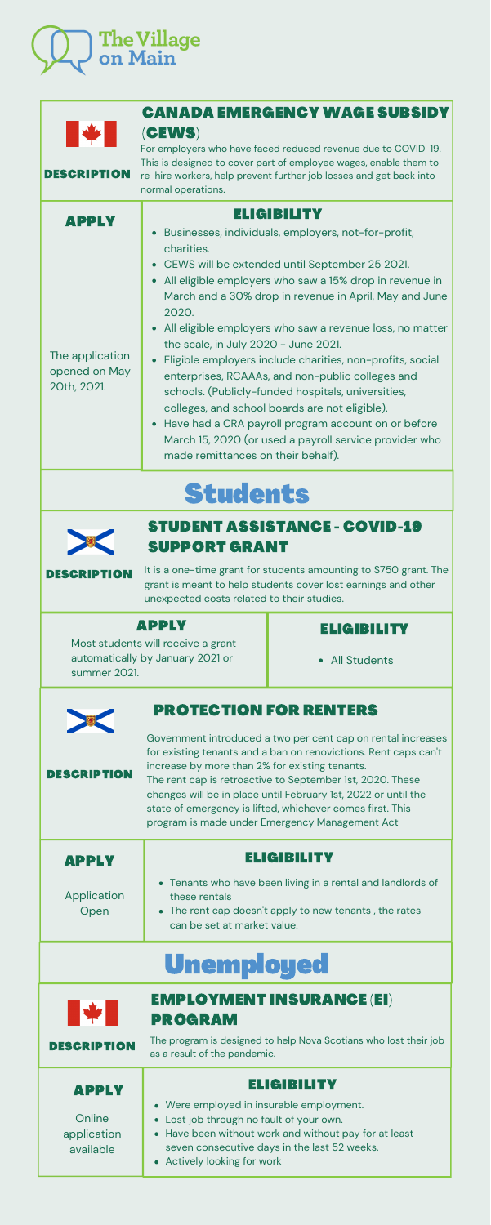### [PROTECTION](https://novascotia.ca/coronavirus/docs/Introducing-Protection-for-Renters-and-a-New-Affordable-Housing-Commission.pdf) FOR RENTERS

All Students



Most students will receive a grant automatically by January 2021 or summer 2021.

### **[ELIGIBILITY](https://novascotia.ca/studentassistance/About/ContactUs.asp)**

### [APPLY](https://novascotia.ca/studentassistance/About/ContactUs.asp)

It is a one-time grant for students amounting to \$750 grant. The grant is meant to help students cover lost earnings and other unexpected costs related to their studies.

# STUDENT [ASSISTANCE](https://novascotia.ca/coronavirus/support/) - COVID-19 SUPPORT GRANT

DESCRIPTION

# Students



| Government introduced a two per cent cap on rental increases<br>for existing tenants and a ban on renovictions. Rent caps can't<br>increase by more than 2% for existing tenants.<br><b>DESCRIPTION</b><br>The rent cap is retroactive to September 1st, 2020. These<br>changes will be in place until February 1st, 2022 or until the<br>state of emergency is lifted, whichever comes first. This<br>program is made under Emergency Management Act |                                                                                                  |  |
|-------------------------------------------------------------------------------------------------------------------------------------------------------------------------------------------------------------------------------------------------------------------------------------------------------------------------------------------------------------------------------------------------------------------------------------------------------|--------------------------------------------------------------------------------------------------|--|
| <b>APPLY</b>                                                                                                                                                                                                                                                                                                                                                                                                                                          | <b>ELIGIBILITY</b>                                                                               |  |
| Application                                                                                                                                                                                                                                                                                                                                                                                                                                           | • Tenants who have been living in a rental and landlords of<br>these rentals                     |  |
| Open                                                                                                                                                                                                                                                                                                                                                                                                                                                  | • The rent cap doesn't apply to new tenants, the rates                                           |  |
|                                                                                                                                                                                                                                                                                                                                                                                                                                                       | can be set at market value.                                                                      |  |
|                                                                                                                                                                                                                                                                                                                                                                                                                                                       | <b>Unemployed</b>                                                                                |  |
|                                                                                                                                                                                                                                                                                                                                                                                                                                                       | <b>EMPLOYMENT INSURANCE (EI)</b><br><b>PROGRAM</b>                                               |  |
| <b>DESCRIPTION</b>                                                                                                                                                                                                                                                                                                                                                                                                                                    | The program is designed to help Nova Scotians who lost their job<br>as a result of the pandemic. |  |
| APPLY                                                                                                                                                                                                                                                                                                                                                                                                                                                 | ELGIBILITY                                                                                       |  |
|                                                                                                                                                                                                                                                                                                                                                                                                                                                       | Were employed in insurable employment.                                                           |  |
| Online<br>application                                                                                                                                                                                                                                                                                                                                                                                                                                 | Lost job through no fault of your own.<br>Have been without work and without pay for at least    |  |
| available                                                                                                                                                                                                                                                                                                                                                                                                                                             | seven consecutive days in the last 52 weeks.                                                     |  |
|                                                                                                                                                                                                                                                                                                                                                                                                                                                       | Actively looking for work                                                                        |  |



| МИН Р                                                           | <b>CANADA EMERGENCY WAGE SUBSIDY</b><br>(CEWS)<br>For employers who have faced reduced revenue due to COVID-19.<br>This is designed to cover part of employee wages, enable them to<br>re-hire workers, help prevent further job losses and get back into<br>normal operations.                                                                                                                                                                                                                                                                                                                                                                                                                                                                                          |
|-----------------------------------------------------------------|--------------------------------------------------------------------------------------------------------------------------------------------------------------------------------------------------------------------------------------------------------------------------------------------------------------------------------------------------------------------------------------------------------------------------------------------------------------------------------------------------------------------------------------------------------------------------------------------------------------------------------------------------------------------------------------------------------------------------------------------------------------------------|
| <b>APPLY</b><br>The application<br>opened on May<br>20th, 2021. | <b>ELIGIBILITY</b><br>Businesses, individuals, employers, not-for-profit,<br>charities.<br>CEWS will be extended until September 25 2021.<br>All eligible employers who saw a 15% drop in revenue in<br>March and a 30% drop in revenue in April, May and June<br>2020.<br>All eligible employers who saw a revenue loss, no matter<br>the scale, in July 2020 - June 2021.<br>Eligible employers include charities, non-profits, social<br>enterprises, RCAAAs, and non-public colleges and<br>schools. (Publicly-funded hospitals, universities,<br>colleges, and school boards are not eligible).<br>Have had a CRA payroll program account on or before<br>$\bullet$<br>March 15, 2020 (or used a payroll service provider who<br>made remittances on their behalf). |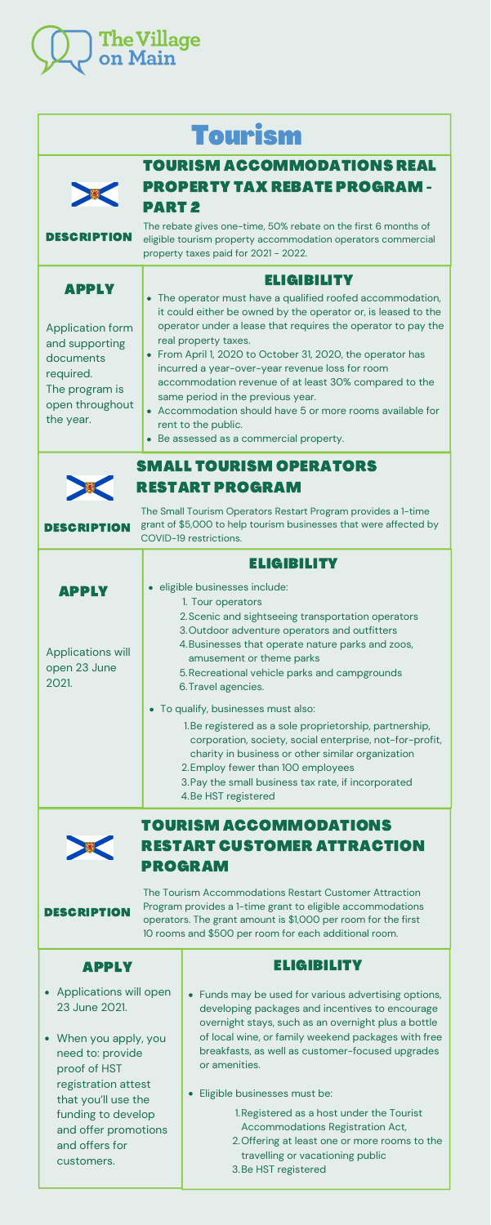| <b>APPLY</b>                                   | <b>ELIGIBILITY</b>                                            |
|------------------------------------------------|---------------------------------------------------------------|
|                                                | • The operator must have a qualified roofed accommodation,    |
|                                                | it could either be owned by the operator or, is leased to the |
| <b>Application form</b>                        | operator under a lease that requires the operator to pay the  |
| and supporting                                 | real property taxes.                                          |
| documents                                      | • From April 1, 2020 to October 31, 2020, the operator has    |
| required.                                      | incurred a year-over-year revenue loss for room               |
| The program is<br>open throughout<br>the year. | accommodation revenue of at least 30% compared to the         |
|                                                | same period in the previous year.                             |
|                                                | • Accommodation should have 5 or more rooms available for     |
|                                                | rent to the public.                                           |

Be assessed as a commercial property.

## TOURISM [ACCOMMODATIONS](https://novascotia.ca/coronavirus/tourism-accommodations-real-property-tax-rebate-program/) REAL PROPERTY TAX REBATE PROGRAM - PART 2

The rebate gives one-time, 50% rebate on the first 6 months of eligible tourism property accommodation operators commercial property taxes paid for 2021 - 2022. DESCRIPTION

- corporation, society, social enterprise, not-for-profit, charity in business or other similar organization
- 2. Employ fewer than 100 employees
- 3. Pay the small business tax rate, if incorporated
- 4. Be HST registered





|  |  | <b>Tourism</b> |
|--|--|----------------|
|  |  |                |



The Small Tourism Operators Restart Program provides a 1-time grant of \$5,000 to help tourism businesses that were affected by COVID-19 restrictions.

- Funds may be used for various advertising options, developing packages and incentives to encourage overnight stays, such as an overnight plus a bottle of local wine, or family weekend packages with free breakfasts, as well as customer-focused upgrades or amenities.
- Eligible businesses must be:
	- 1. Registered as a host under the Tourist Accommodations Registration Act,
	- 2. Offering at least one or more rooms to the travelling or vacationing public
	- 3. Be HST registered

# SMALL TOURISM [OPERATORS](https://novascotia.ca/coronavirus/small-tourism-operators-restart-program/) RESTART PROGRAM

|                                                   | ELIGIBILITY                                                                                                                                                                                                                                                  |
|---------------------------------------------------|--------------------------------------------------------------------------------------------------------------------------------------------------------------------------------------------------------------------------------------------------------------|
| <b>APPLY</b>                                      | · eligible businesses include:<br>1. Tour operators                                                                                                                                                                                                          |
| <b>Applications will</b><br>open 23 June<br>2021. | 2. Scenic and sightseeing transportation operators<br>3. Outdoor adventure operators and outfitters<br>4. Businesses that operate nature parks and zoos,<br>amusement or theme parks<br>5. Recreational vehicle parks and campgrounds<br>6. Travel agencies. |
|                                                   | • To qualify, businesses must also:<br>1. Be registered as a sole proprietorship, partnership,                                                                                                                                                               |

DESCRIPTION

The Tourism Accommodations Restart Customer Attraction Program provides a 1-time grant to eligible accommodations operators. The grant amount is \$1,000 per room for the first 10 rooms and \$500 per room for each additional room.

# TOURISM [ACCOMMODATIONS](https://novascotia.ca/coronavirus/tourism-accommodations-restart-customer-attraction-program/) RESTART CUSTOMER ATTRACTION PROGRAM

#### **DESCRIPTION**

#### [ELIGIBILITY](https://novascotia.ca/coronavirus/tourism-accommodations-restart-customer-attraction-program/#eligibility)

- Applications will open 23 June 2021.
- When you apply, you need to: provide proof of HST registration attest that you'll use the funding to develop and offer promotions and offers for customers.

#### [APPLY](https://novascotia.ca/coronavirus/tourism-accommodations-restart-customer-attraction-program/#how-to-apply)